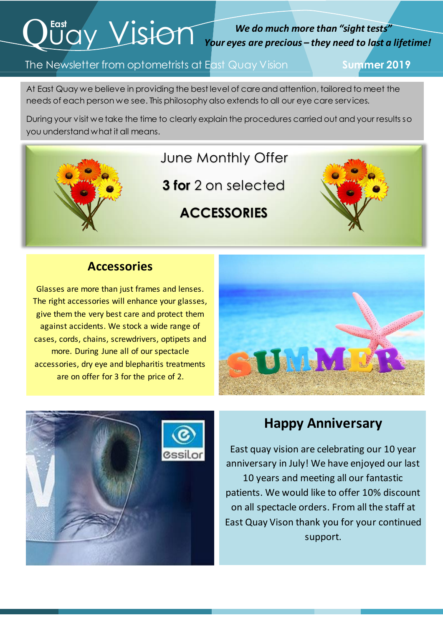# $Q^{\text{fast}}$  Vision

#### *We do much more than "sight tests" Your eyes are precious – they need to last a lifetime!*

#### The Newsletter from optometrists at East Quay Vision **Summer 2019**

At East Quay we believe in providing the best level of care and attention, tailored to meet the needs of each person we see. This philosophy also extends to all our eye care services.

 During your visit we take the time to clearly explain the procedures carried out and your results so you understand what it all means.

#### June Monthly Offer

**3 for** 2 on selected

### **ACCESSORIES**



#### **Accessories**

i

Glasses are more than just frames and lenses. The right accessories will enhance your glasses, give them the very best care and protect them against accidents. We stock a wide range of cases, cords, chains, screwdrivers, optipets and more. During June all of our spectacle accessories, dry eye and blepharitis treatments are on offer for 3 for the price of 2.





#### **Happy Anniversary**

East quay vision are celebrating our 10 year anniversary in July! We have enjoyed our last 10 years and meeting all our fantastic patients. We would like to offer 10% discount on all spectacle orders. From all the staff at East Quay Vison thank you for your continued support.